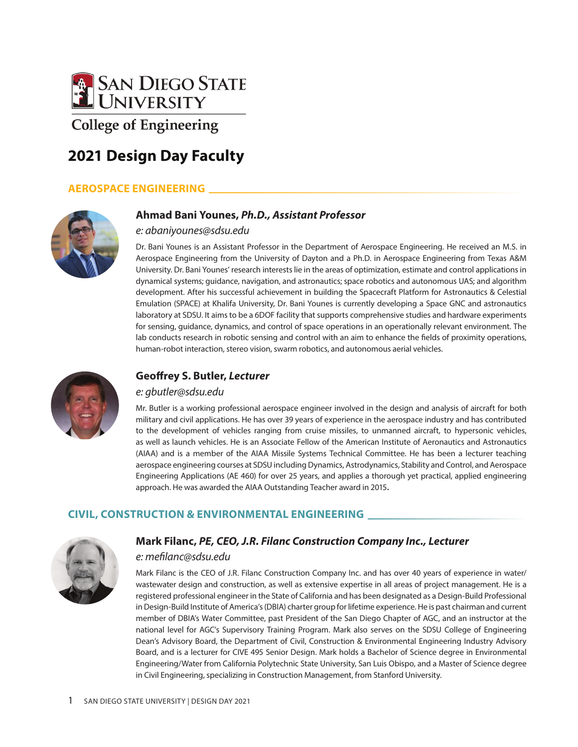

# **2021 Design Day Faculty**

# **AEROSPACE ENGINEERING**



#### **Ahmad Bani Younes,** *Ph.D., Assistant Professor*

#### *e: abaniyounes@sdsu.edu*

Dr. Bani Younes is an Assistant Professor in the Department of Aerospace Engineering. He received an M.S. in Aerospace Engineering from the University of Dayton and a Ph.D. in Aerospace Engineering from Texas A&M University. Dr. Bani Younes' research interests lie in the areas of optimization, estimate and control applications in dynamical systems; guidance, navigation, and astronautics; space robotics and autonomous UAS; and algorithm development. After his successful achievement in building the Spacecraft Platform for Astronautics & Celestial Emulation (SPACE) at Khalifa University, Dr. Bani Younes is currently developing a Space GNC and astronautics laboratory at SDSU. It aims to be a 6DOF facility that supports comprehensive studies and hardware experiments for sensing, guidance, dynamics, and control of space operations in an operationally relevant environment. The lab conducts research in robotic sensing and control with an aim to enhance the fields of proximity operations, human-robot interaction, stereo vision, swarm robotics, and autonomous aerial vehicles.



## **Geoffrey S. Butler,** *Lecturer*

#### *e: gbutler@sdsu.edu*

Mr. Butler is a working professional aerospace engineer involved in the design and analysis of aircraft for both military and civil applications. He has over 39 years of experience in the aerospace industry and has contributed to the development of vehicles ranging from cruise missiles, to unmanned aircraft, to hypersonic vehicles, as well as launch vehicles. He is an Associate Fellow of the American Institute of Aeronautics and Astronautics (AIAA) and is a member of the AIAA Missile Systems Technical Committee. He has been a lecturer teaching aerospace engineering courses at SDSU including Dynamics, Astrodynamics, Stability and Control, and Aerospace Engineering Applications (AE 460) for over 25 years, and applies a thorough yet practical, applied engineering approach. He was awarded the AIAA Outstanding Teacher award in 2015.

## **CIVIL, CONSTRUCTION & ENVIRONMENTAL ENGINEERING**



#### **Mark Filanc,** *PE, CEO, J.R. Filanc Construction Company Inc., Lecturer*

#### *e: mefilanc@sdsu.edu*

Mark Filanc is the CEO of J.R. Filanc Construction Company Inc. and has over 40 years of experience in water/ wastewater design and construction, as well as extensive expertise in all areas of project management. He is a registered professional engineer in the State of California and has been designated as a Design-Build Professional in Design-Build Institute of America's (DBIA) charter group for lifetime experience. He is past chairman and current member of DBIA's Water Committee, past President of the San Diego Chapter of AGC, and an instructor at the national level for AGC's Supervisory Training Program. Mark also serves on the SDSU College of Engineering Dean's Advisory Board, the Department of Civil, Construction & Environmental Engineering Industry Advisory Board, and is a lecturer for CIVE 495 Senior Design. Mark holds a Bachelor of Science degree in Environmental Engineering/Water from California Polytechnic State University, San Luis Obispo, and a Master of Science degree in Civil Engineering, specializing in Construction Management, from Stanford University.